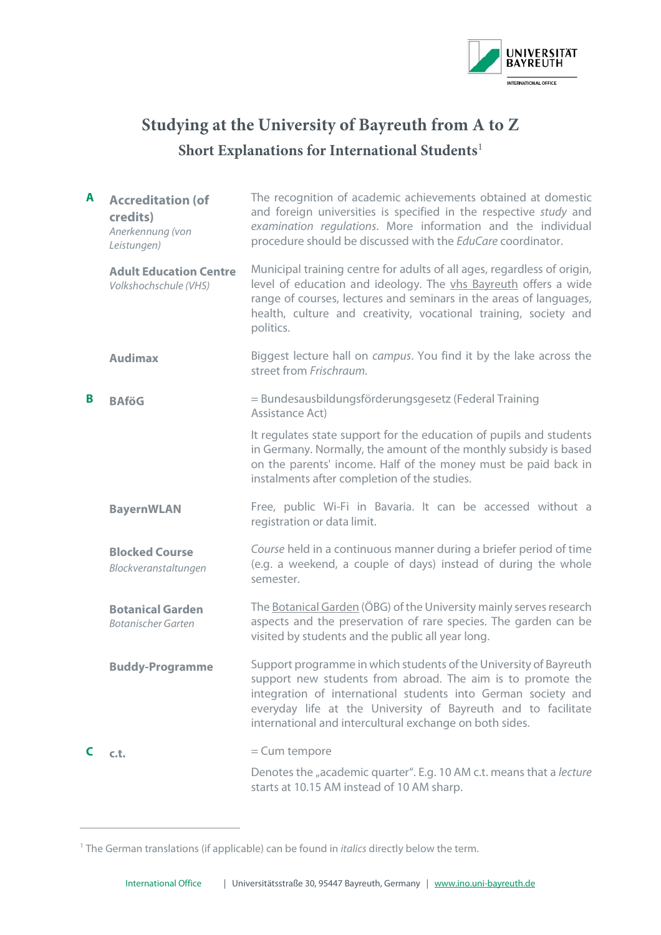

## **Studying at the University of Bayreuth from A to Z Short Explanations for International Students**[1](#page-0-0)

| A | <b>Accreditation (of</b><br>credits)<br>Anerkennung (von<br>Leistungen) | The recognition of academic achievements obtained at domestic<br>and foreign universities is specified in the respective study and<br>examination regulations. More information and the individual<br>procedure should be discussed with the EduCare coordinator.                                                             |
|---|-------------------------------------------------------------------------|-------------------------------------------------------------------------------------------------------------------------------------------------------------------------------------------------------------------------------------------------------------------------------------------------------------------------------|
|   | <b>Adult Education Centre</b><br>Volkshochschule (VHS)                  | Municipal training centre for adults of all ages, regardless of origin,<br>level of education and ideology. The vhs Bayreuth offers a wide<br>range of courses, lectures and seminars in the areas of languages,<br>health, culture and creativity, vocational training, society and<br>politics.                             |
|   | <b>Audimax</b>                                                          | Biggest lecture hall on <i>campus</i> . You find it by the lake across the<br>street from Frischraum.                                                                                                                                                                                                                         |
| B | <b>BAföG</b>                                                            | = Bundesausbildungsförderungsgesetz (Federal Training<br>Assistance Act)                                                                                                                                                                                                                                                      |
|   |                                                                         | It regulates state support for the education of pupils and students<br>in Germany. Normally, the amount of the monthly subsidy is based<br>on the parents' income. Half of the money must be paid back in<br>instalments after completion of the studies.                                                                     |
|   | <b>BayernWLAN</b>                                                       | Free, public Wi-Fi in Bavaria. It can be accessed without a<br>registration or data limit.                                                                                                                                                                                                                                    |
|   | <b>Blocked Course</b><br>Blockveranstaltungen                           | Course held in a continuous manner during a briefer period of time<br>(e.g. a weekend, a couple of days) instead of during the whole<br>semester.                                                                                                                                                                             |
|   | <b>Botanical Garden</b><br>Botanischer Garten                           | The Botanical Garden (ÖBG) of the University mainly serves research<br>aspects and the preservation of rare species. The garden can be<br>visited by students and the public all year long.                                                                                                                                   |
|   | <b>Buddy-Programme</b>                                                  | Support programme in which students of the University of Bayreuth<br>support new students from abroad. The aim is to promote the<br>integration of international students into German society and<br>everyday life at the University of Bayreuth and to facilitate<br>international and intercultural exchange on both sides. |
| C | c.t.                                                                    | $=$ Cum tempore                                                                                                                                                                                                                                                                                                               |
|   |                                                                         | Denotes the "academic quarter". E.g. 10 AM c.t. means that a lecture<br>starts at 10.15 AM instead of 10 AM sharp.                                                                                                                                                                                                            |

<span id="page-0-0"></span><sup>1</sup> The German translations (if applicable) can be found in *italics* directly below the term.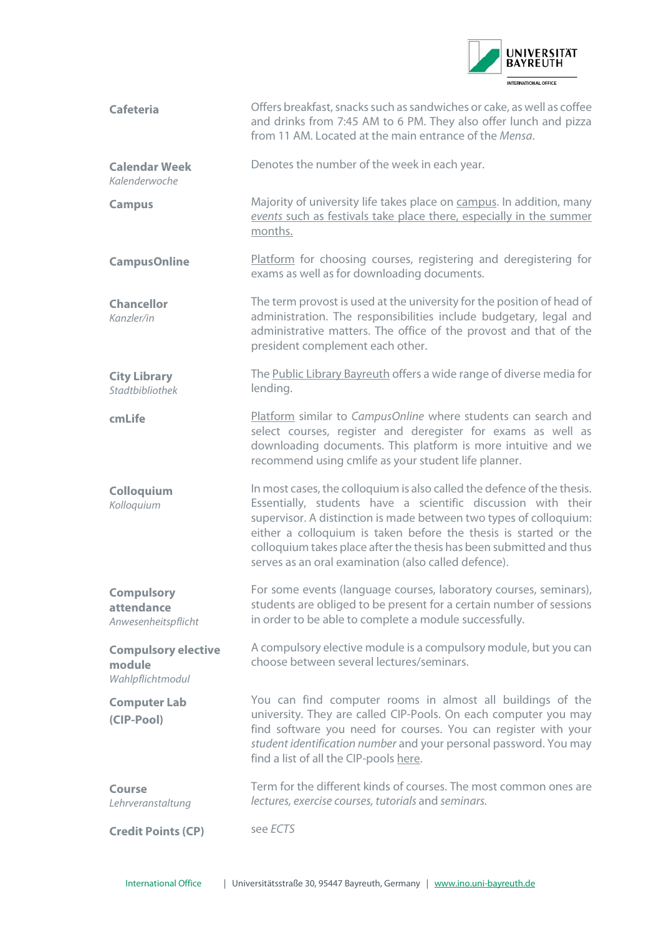

<span id="page-1-3"></span><span id="page-1-2"></span><span id="page-1-1"></span><span id="page-1-0"></span>

| <b>Cafeteria</b>                                         | Offers breakfast, snacks such as sandwiches or cake, as well as coffee<br>and drinks from 7:45 AM to 6 PM. They also offer lunch and pizza<br>from 11 AM. Located at the main entrance of the Mensa.                                                                                                                                                                                                              |
|----------------------------------------------------------|-------------------------------------------------------------------------------------------------------------------------------------------------------------------------------------------------------------------------------------------------------------------------------------------------------------------------------------------------------------------------------------------------------------------|
| <b>Calendar Week</b><br>Kalenderwoche                    | Denotes the number of the week in each year.                                                                                                                                                                                                                                                                                                                                                                      |
| <b>Campus</b>                                            | Majority of university life takes place on campus. In addition, many<br>events such as festivals take place there, especially in the summer<br>months.                                                                                                                                                                                                                                                            |
| <b>CampusOnline</b>                                      | Platform for choosing courses, registering and deregistering for<br>exams as well as for downloading documents.                                                                                                                                                                                                                                                                                                   |
| <b>Chancellor</b><br>Kanzler/in                          | The term provost is used at the university for the position of head of<br>administration. The responsibilities include budgetary, legal and<br>administrative matters. The office of the provost and that of the<br>president complement each other.                                                                                                                                                              |
| <b>City Library</b><br>Stadtbibliothek                   | The Public Library Bayreuth offers a wide range of diverse media for<br>lending.                                                                                                                                                                                                                                                                                                                                  |
| cmLife                                                   | Platform similar to CampusOnline where students can search and<br>select courses, register and deregister for exams as well as<br>downloading documents. This platform is more intuitive and we<br>recommend using cmlife as your student life planner.                                                                                                                                                           |
| Colloquium<br>Kolloquium                                 | In most cases, the colloquium is also called the defence of the thesis.<br>Essentially, students have a scientific discussion with their<br>supervisor. A distinction is made between two types of colloquium:<br>either a colloquium is taken before the thesis is started or the<br>colloquium takes place after the thesis has been submitted and thus<br>serves as an oral examination (also called defence). |
| <b>Compulsory</b><br>attendance<br>Anwesenheitspflicht   | For some events (language courses, laboratory courses, seminars),<br>students are obliged to be present for a certain number of sessions<br>in order to be able to complete a module successfully.                                                                                                                                                                                                                |
| <b>Compulsory elective</b><br>module<br>Wahlpflichtmodul | A compulsory elective module is a compulsory module, but you can<br>choose between several lectures/seminars.                                                                                                                                                                                                                                                                                                     |
| <b>Computer Lab</b><br>(CIP-Pool)                        | You can find computer rooms in almost all buildings of the<br>university. They are called CIP-Pools. On each computer you may<br>find software you need for courses. You can register with your<br>student identification number and your personal password. You may<br>find a list of all the CIP-pools here.                                                                                                    |
| Course<br>Lehrveranstaltung                              | Term for the different kinds of courses. The most common ones are<br>lectures, exercise courses, tutorials and seminars.                                                                                                                                                                                                                                                                                          |
| <b>Credit Points (CP)</b>                                | see ECTS                                                                                                                                                                                                                                                                                                                                                                                                          |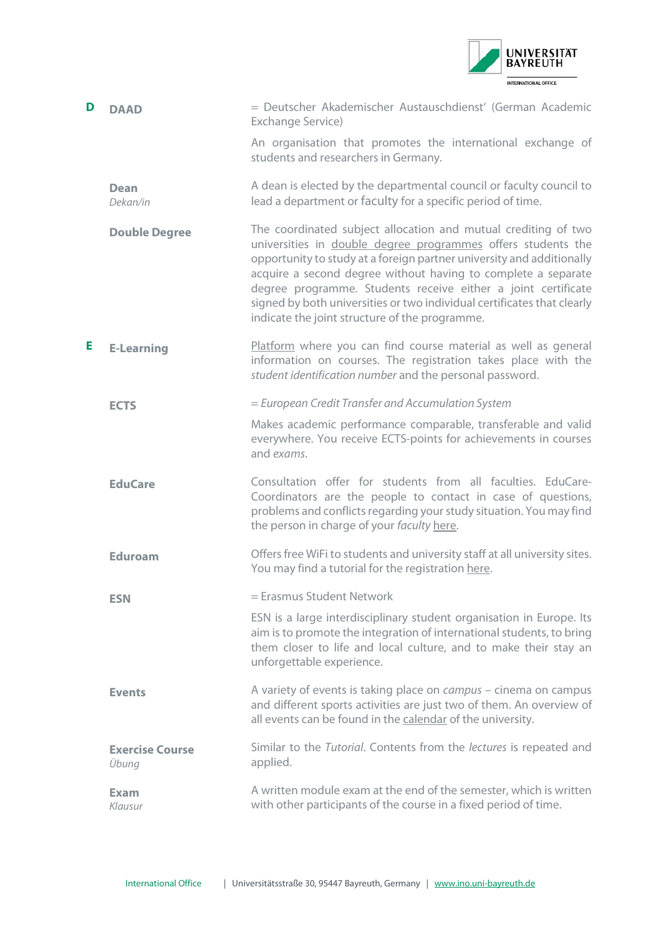

<span id="page-2-5"></span><span id="page-2-4"></span><span id="page-2-3"></span><span id="page-2-2"></span><span id="page-2-1"></span><span id="page-2-0"></span>

| D | <b>DAAD</b>                     | = Deutscher Akademischer Austauschdienst' (German Academic<br>Exchange Service)                                                                                                                                                                                                                                                                                                                                                                                        |
|---|---------------------------------|------------------------------------------------------------------------------------------------------------------------------------------------------------------------------------------------------------------------------------------------------------------------------------------------------------------------------------------------------------------------------------------------------------------------------------------------------------------------|
|   |                                 | An organisation that promotes the international exchange of<br>students and researchers in Germany.                                                                                                                                                                                                                                                                                                                                                                    |
|   | <b>Dean</b><br>Dekan/in         | A dean is elected by the departmental council or faculty council to<br>lead a department or faculty for a specific period of time.                                                                                                                                                                                                                                                                                                                                     |
|   | <b>Double Degree</b>            | The coordinated subject allocation and mutual crediting of two<br>universities in double degree programmes offers students the<br>opportunity to study at a foreign partner university and additionally<br>acquire a second degree without having to complete a separate<br>degree programme. Students receive either a joint certificate<br>signed by both universities or two individual certificates that clearly<br>indicate the joint structure of the programme. |
| E | <b>E-Learning</b>               | Platform where you can find course material as well as general<br>information on courses. The registration takes place with the<br>student identification number and the personal password.                                                                                                                                                                                                                                                                            |
|   | <b>ECTS</b>                     | = European Credit Transfer and Accumulation System                                                                                                                                                                                                                                                                                                                                                                                                                     |
|   |                                 | Makes academic performance comparable, transferable and valid<br>everywhere. You receive ECTS-points for achievements in courses<br>and exams.                                                                                                                                                                                                                                                                                                                         |
|   | <b>EduCare</b>                  | Consultation offer for students from all faculties. EduCare-<br>Coordinators are the people to contact in case of questions,<br>problems and conflicts regarding your study situation. You may find<br>the person in charge of your faculty here.                                                                                                                                                                                                                      |
|   | <b>Eduroam</b>                  | Offers free WiFi to students and university staff at all university sites.<br>You may find a tutorial for the registration here.                                                                                                                                                                                                                                                                                                                                       |
|   | <b>ESN</b>                      | = Erasmus Student Network                                                                                                                                                                                                                                                                                                                                                                                                                                              |
|   |                                 | ESN is a large interdisciplinary student organisation in Europe. Its<br>aim is to promote the integration of international students, to bring<br>them closer to life and local culture, and to make their stay an<br>unforgettable experience.                                                                                                                                                                                                                         |
|   | <b>Events</b>                   | A variety of events is taking place on <i>campus</i> – cinema on campus<br>and different sports activities are just two of them. An overview of<br>all events can be found in the calendar of the university.                                                                                                                                                                                                                                                          |
|   | <b>Exercise Course</b><br>Übung | Similar to the Tutorial. Contents from the lectures is repeated and<br>applied.                                                                                                                                                                                                                                                                                                                                                                                        |
|   | <b>Exam</b><br>Klausur          | A written module exam at the end of the semester, which is written<br>with other participants of the course in a fixed period of time.                                                                                                                                                                                                                                                                                                                                 |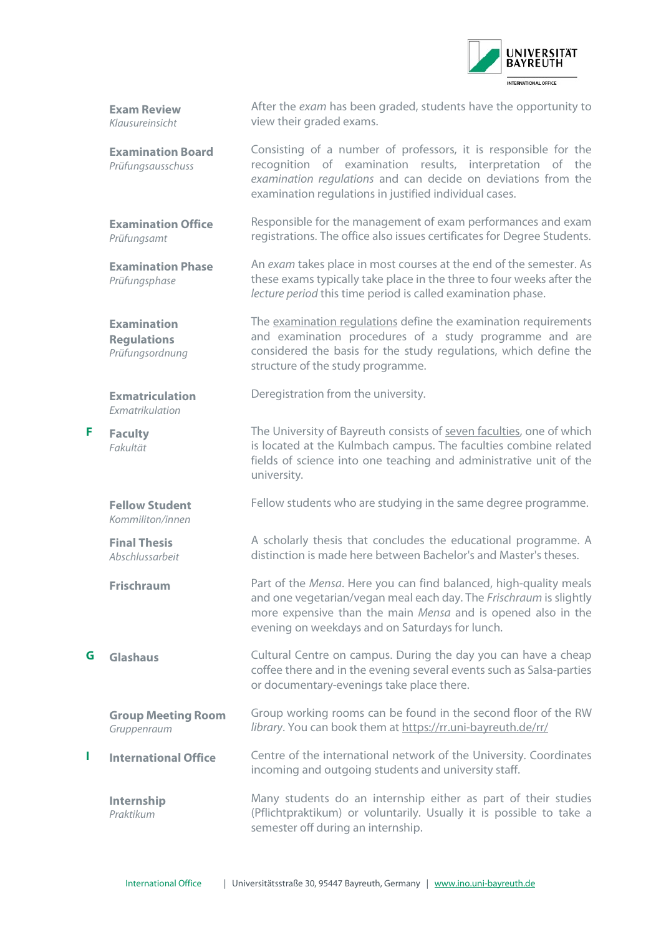

**Exam Review** *Klausureinsicht*

**Examination Phase**

*Prüfungsphase*

<span id="page-3-0"></span>**Examination Regulations** *Prüfungsordnung*

**Exmatriculation** *Exmatrikulation*

<span id="page-3-2"></span>**F Faculty** *Fakultät*

After the *[exam](#page-2-4)* has been graded, students have the opportunity to view their graded exams.

**Examination Board** *Prüfungsausschuss* Consisting of a number of professors, it is responsible for the recognition of examination results, interpretation of the *[examination regulations](#page-3-0)* and can decide on deviations from the examination regulations in justified individual cases.

**Examination Office** *Prüfungsamt* Responsible for the management of exam performances and exam registrations. The office also issues certificates for Degree Students.

> An *[exam](#page-2-4)* takes place in most courses at the end of the semester. As these exams typically take place in the three to four weeks after the *[lecture period](#page-4-1)* this time period is called examination phase.

> The [examination regulations](https://www.uni-bayreuth.de/de/universitaet/organisation/abt1/pruefungsordnungen/index.html) define the examination requirements and examination procedures of a study programme and are considered the basis for the study regulations, which define the structure of the study programme.

Deregistration from the university.

The University of Bayreuth consists of seven faculties, one of which is located at the Kulmbach campus. The faculties combine related fields of science into one teaching and administrative unit of the university.

**Fellow Student** Fellow students who are studying in the same degree programme.

*Kommiliton/innen*

**Final Thesis** *Abschlussarbeit*

**Group Meeting Room** *Gruppenraum*

**Internship** *Praktikum*

A scholarly thesis that concludes the educational programme. A distinction is made here between Bachelor's and Master's theses.

<span id="page-3-1"></span>**Frischraum** Part of the *[Mensa](#page-5-0)*. Here you can find balanced, high-quality meals and one vegetarian/vegan meal each day. The *Frischraum* is slightly more expensive than the main *[Mensa](#page-5-0)* and is opened also in the evening on weekdays and on Saturdays for lunch.

**G Glashaus** Cultural Centre on campus. During the day you can have a cheap coffee there and in the evening several events such as Salsa-parties or documentary-evenings take place there.

Group working rooms can be found in the second floor of the RW *library*. You can book them at<https://rr.uni-bayreuth.de/rr/>

**I International Office** Centre of the international network of the University. Coordinates incoming and outgoing students and university staff.

> Many students do an internship either as part of their studies (Pflichtpraktikum) or voluntarily. Usually it is possible to take a semester off during an internship.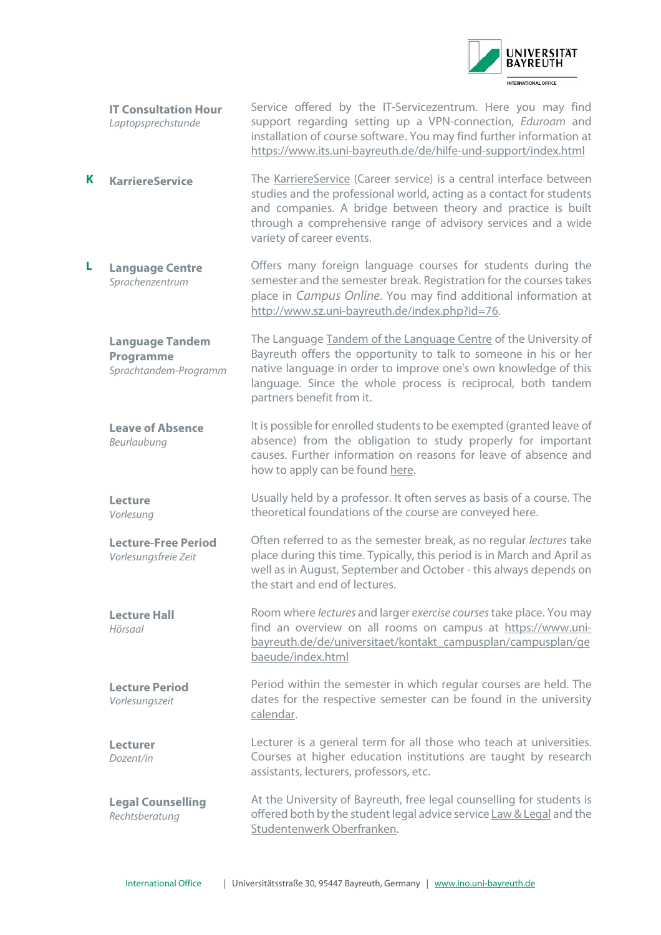

- **IT Consultation Hour** *Laptopsprechstunde* Service offered by the IT-Servicezentrum. Here you may find support regarding setting up a VPN-connection, *[Eduroam](#page-2-5)* and installation of course software. You may find further information at <https://www.its.uni-bayreuth.de/de/hilfe-und-support/index.html>
- **K KarriereService** The **KarriereService** (Career service) is a central interface between studies and the professional world, acting as a contact for students and companies. A bridge between theory and practice is built through a comprehensive range of advisory services and a wide variety of career events.
- **L Language Centre** *Sprachenzentrum* Offers many foreign language courses for students during the semester and the semester break. Registration for the courses takes place in *[Campus Online](#page-1-2)*. You may find additional information at [http://www.sz.uni-bayreuth.de/index.php?id=76.](http://www.sz.uni-bayreuth.de/index.php?id=76) 
	- **Language Tandem Programme** *Sprachtandem-Programm* The Language [Tandem of the Language Centre](http://www.sz.uni-bayreuth.de/index.php?id=248) of the University of Bayreuth offers the opportunity to talk to someone in his or her native language in order to improve one's own knowledge of this language. Since the whole process is reciprocal, both tandem partners benefit from it.
	- **Leave of Absence** *Beurlaubung* It is possible for enrolled students to be exempted (granted leave of absence) from the obligation to study properly for important causes. Further information on reasons for leave of absence and how to apply can be found [here.](https://www.studierendenkanzlei.uni-bayreuth.de/de/studierende/urlaubssemester/)

<span id="page-4-0"></span>**Lecture** *Vorlesung*

*Hörsaal*

*Vorlesungszeit*

Usually held by a professor. It often serves as basis of a course. The theoretical foundations of the course are conveyed here.

**Lecture-Free Period** *Vorlesungsfreie Zeit* Often referred to as the semester break, as no regular *[lectures](#page-4-0)* take place during this time. Typically, this period is in March and April as well as in August, September and October - this always depends on the start and end of lectures.

<span id="page-4-2"></span>**Lecture Hall** Room where *[lectures](#page-4-0)* and larger *[exercise courses](#page-2-2)*take place. You may find an overview on all rooms on campus at [https://www.uni](https://www.uni-bayreuth.de/de/universitaet/kontakt_campusplan/campusplan/gebaeude/index.html)[bayreuth.de/de/universitaet/kontakt\\_campusplan/campusplan/ge](https://www.uni-bayreuth.de/de/universitaet/kontakt_campusplan/campusplan/gebaeude/index.html) [baeude/index.html](https://www.uni-bayreuth.de/de/universitaet/kontakt_campusplan/campusplan/gebaeude/index.html)

<span id="page-4-1"></span>**Lecture Period** Period within the semester in which regular courses are held. The dates for the respective semester can be found in the university [calendar.](https://www.uni-bayreuth.de/de/campusleben/terminkalender/termine_studienjahr/index.html)

**Lecturer** *Dozent/in* Lecturer is a general term for all those who teach at universities. Courses at higher education institutions are taught by research assistants, lecturers, professors, etc.

**Legal Counselling** *Rechtsberatung* At the University of Bayreuth, free legal counselling for students is offered both by the student legal advice servic[e Law & Legal](https://lawandlegal.de/standorte/bayreuth) and the [Studentenwerk Oberfranken.](https://www.studentenwerk-oberfranken.de/en/counselling-and-social-issues/legal-advice.html)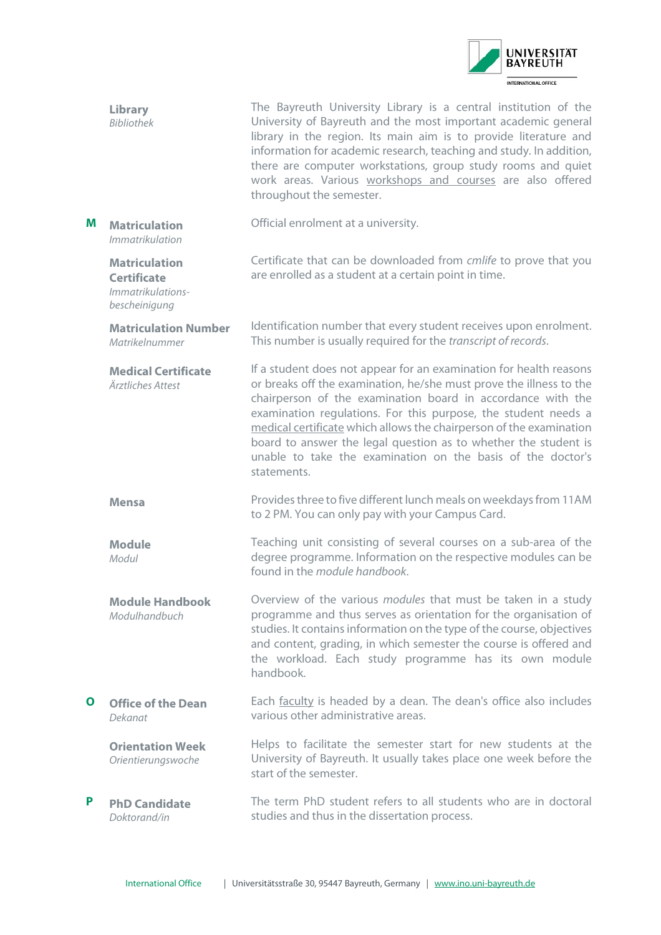

<span id="page-5-2"></span><span id="page-5-1"></span><span id="page-5-0"></span>

|   | <b>Library</b><br><b>Bibliothek</b>                                              | The Bayreuth University Library is a central institution of the<br>University of Bayreuth and the most important academic general<br>library in the region. Its main aim is to provide literature and<br>information for academic research, teaching and study. In addition,<br>there are computer workstations, group study rooms and quiet<br>work areas. Various workshops and courses are also offered<br>throughout the semester.                                                             |
|---|----------------------------------------------------------------------------------|----------------------------------------------------------------------------------------------------------------------------------------------------------------------------------------------------------------------------------------------------------------------------------------------------------------------------------------------------------------------------------------------------------------------------------------------------------------------------------------------------|
| M | <b>Matriculation</b><br>Immatrikulation                                          | Official enrolment at a university.                                                                                                                                                                                                                                                                                                                                                                                                                                                                |
|   | <b>Matriculation</b><br><b>Certificate</b><br>Immatrikulations-<br>bescheinigung | Certificate that can be downloaded from cmlife to prove that you<br>are enrolled as a student at a certain point in time.                                                                                                                                                                                                                                                                                                                                                                          |
|   | <b>Matriculation Number</b><br>Matrikelnummer                                    | Identification number that every student receives upon enrolment.<br>This number is usually required for the transcript of records.                                                                                                                                                                                                                                                                                                                                                                |
|   | <b>Medical Certificate</b><br>Ärztliches Attest                                  | If a student does not appear for an examination for health reasons<br>or breaks off the examination, he/she must prove the illness to the<br>chairperson of the examination board in accordance with the<br>examination regulations. For this purpose, the student needs a<br>medical certificate which allows the chairperson of the examination<br>board to answer the legal question as to whether the student is<br>unable to take the examination on the basis of the doctor's<br>statements. |
|   | Mensa                                                                            | Provides three to five different lunch meals on weekdays from 11AM<br>to 2 PM. You can only pay with your Campus Card.                                                                                                                                                                                                                                                                                                                                                                             |
|   | <b>Module</b><br>Modul                                                           | Teaching unit consisting of several courses on a sub-area of the<br>degree programme. Information on the respective modules can be<br>found in the module handbook.                                                                                                                                                                                                                                                                                                                                |
|   | <b>Module Handbook</b><br>Modulhandbuch                                          | Overview of the various modules that must be taken in a study<br>programme and thus serves as orientation for the organisation of<br>studies. It contains information on the type of the course, objectives<br>and content, grading, in which semester the course is offered and<br>the workload. Each study programme has its own module<br>handbook.                                                                                                                                             |
| Ο | <b>Office of the Dean</b><br>Dekanat                                             | Each faculty is headed by a dean. The dean's office also includes<br>various other administrative areas.                                                                                                                                                                                                                                                                                                                                                                                           |
|   | <b>Orientation Week</b><br>Orientierungswoche                                    | Helps to facilitate the semester start for new students at the<br>University of Bayreuth. It usually takes place one week before the<br>start of the semester.                                                                                                                                                                                                                                                                                                                                     |
| P | <b>PhD Candidate</b><br>Doktorand/in                                             | The term PhD student refers to all students who are in doctoral<br>studies and thus in the dissertation process.                                                                                                                                                                                                                                                                                                                                                                                   |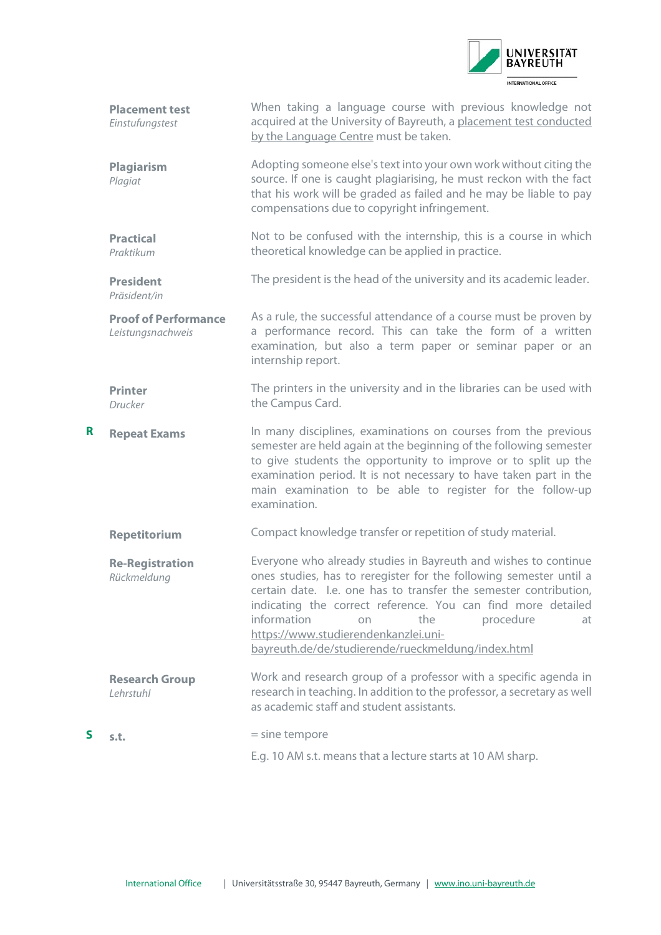

<span id="page-6-0"></span>

|   | <b>Placement test</b><br>Einstufungstest         | When taking a language course with previous knowledge not<br>acquired at the University of Bayreuth, a placement test conducted<br>by the Language Centre must be taken.                                                                                                                                                                                                                                                |
|---|--------------------------------------------------|-------------------------------------------------------------------------------------------------------------------------------------------------------------------------------------------------------------------------------------------------------------------------------------------------------------------------------------------------------------------------------------------------------------------------|
|   | <b>Plagiarism</b><br>Plagiat                     | Adopting someone else's text into your own work without citing the<br>source. If one is caught plagiarising, he must reckon with the fact<br>that his work will be graded as failed and he may be liable to pay<br>compensations due to copyright infringement.                                                                                                                                                         |
|   | <b>Practical</b><br>Praktikum                    | Not to be confused with the internship, this is a course in which<br>theoretical knowledge can be applied in practice.                                                                                                                                                                                                                                                                                                  |
|   | <b>President</b><br>Präsident/in                 | The president is the head of the university and its academic leader.                                                                                                                                                                                                                                                                                                                                                    |
|   | <b>Proof of Performance</b><br>Leistungsnachweis | As a rule, the successful attendance of a course must be proven by<br>a performance record. This can take the form of a written<br>examination, but also a term paper or seminar paper or an<br>internship report.                                                                                                                                                                                                      |
|   | <b>Printer</b><br>Drucker                        | The printers in the university and in the libraries can be used with<br>the Campus Card.                                                                                                                                                                                                                                                                                                                                |
| R | <b>Repeat Exams</b>                              | In many disciplines, examinations on courses from the previous<br>semester are held again at the beginning of the following semester<br>to give students the opportunity to improve or to split up the<br>examination period. It is not necessary to have taken part in the<br>main examination to be able to register for the follow-up<br>examination.                                                                |
|   | <b>Repetitorium</b>                              | Compact knowledge transfer or repetition of study material.                                                                                                                                                                                                                                                                                                                                                             |
|   | <b>Re-Registration</b><br>Rückmeldung            | Everyone who already studies in Bayreuth and wishes to continue<br>ones studies, has to reregister for the following semester until a<br>certain date. I.e. one has to transfer the semester contribution,<br>indicating the correct reference. You can find more detailed<br>information<br>the<br>procedure<br>at<br>on<br>https://www.studierendenkanzlei.uni-<br>bayreuth.de/de/studierende/rueckmeldung/index.html |
|   | <b>Research Group</b><br>Lehrstuhl               | Work and research group of a professor with a specific agenda in<br>research in teaching. In addition to the professor, a secretary as well<br>as academic staff and student assistants.                                                                                                                                                                                                                                |
| S | s.t.                                             | $=$ sine tempore                                                                                                                                                                                                                                                                                                                                                                                                        |
|   |                                                  | E.g. 10 AM s.t. means that a lecture starts at 10 AM sharp.                                                                                                                                                                                                                                                                                                                                                             |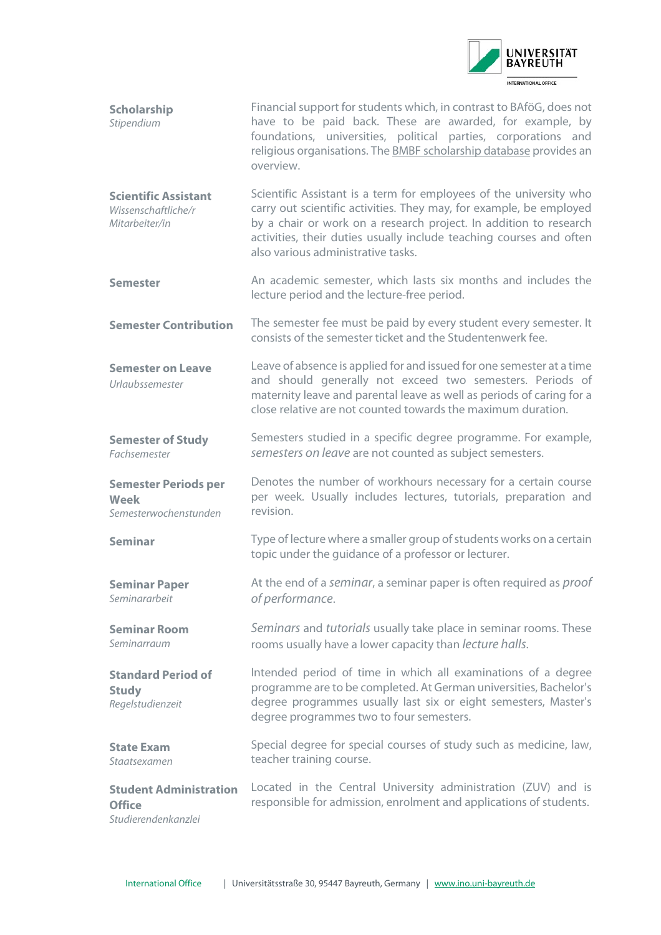

<span id="page-7-1"></span><span id="page-7-0"></span>

| Scholarship<br>Stipendium                                            | Financial support for students which, in contrast to BAföG, does not<br>have to be paid back. These are awarded, for example, by<br>foundations, universities, political parties, corporations and<br>religious organisations. The <b>BMBF</b> scholarship database provides an<br>overview.                                |
|----------------------------------------------------------------------|-----------------------------------------------------------------------------------------------------------------------------------------------------------------------------------------------------------------------------------------------------------------------------------------------------------------------------|
| <b>Scientific Assistant</b><br>Wissenschaftliche/r<br>Mitarbeiter/in | Scientific Assistant is a term for employees of the university who<br>carry out scientific activities. They may, for example, be employed<br>by a chair or work on a research project. In addition to research<br>activities, their duties usually include teaching courses and often<br>also various administrative tasks. |
| <b>Semester</b>                                                      | An academic semester, which lasts six months and includes the<br>lecture period and the lecture-free period.                                                                                                                                                                                                                |
| <b>Semester Contribution</b>                                         | The semester fee must be paid by every student every semester. It<br>consists of the semester ticket and the Studentenwerk fee.                                                                                                                                                                                             |
| <b>Semester on Leave</b><br>Urlaubssemester                          | Leave of absence is applied for and issued for one semester at a time<br>and should generally not exceed two semesters. Periods of<br>maternity leave and parental leave as well as periods of caring for a<br>close relative are not counted towards the maximum duration.                                                 |
| <b>Semester of Study</b><br>Fachsemester                             | Semesters studied in a specific degree programme. For example,<br>semesters on leave are not counted as subject semesters.                                                                                                                                                                                                  |
|                                                                      |                                                                                                                                                                                                                                                                                                                             |
| <b>Semester Periods per</b><br>Week<br>Semesterwochenstunden         | Denotes the number of workhours necessary for a certain course<br>per week. Usually includes lectures, tutorials, preparation and<br>revision.                                                                                                                                                                              |
| <b>Seminar</b>                                                       | Type of lecture where a smaller group of students works on a certain<br>topic under the guidance of a professor or lecturer.                                                                                                                                                                                                |
| <b>Seminar Paper</b><br>Seminararbeit                                | At the end of a seminar, a seminar paper is often required as <i>proof</i><br>of performance.                                                                                                                                                                                                                               |
| <b>Seminar Room</b><br>Seminarraum                                   | Seminars and tutorials usually take place in seminar rooms. These<br>rooms usually have a lower capacity than <i>lecture halls</i> .                                                                                                                                                                                        |
| <b>Standard Period of</b><br><b>Study</b><br>Regelstudienzeit        | Intended period of time in which all examinations of a degree<br>programme are to be completed. At German universities, Bachelor's<br>degree programmes usually last six or eight semesters, Master's<br>degree programmes two to four semesters.                                                                           |
| <b>State Exam</b><br>Staatsexamen                                    | Special degree for special courses of study such as medicine, law,<br>teacher training course.                                                                                                                                                                                                                              |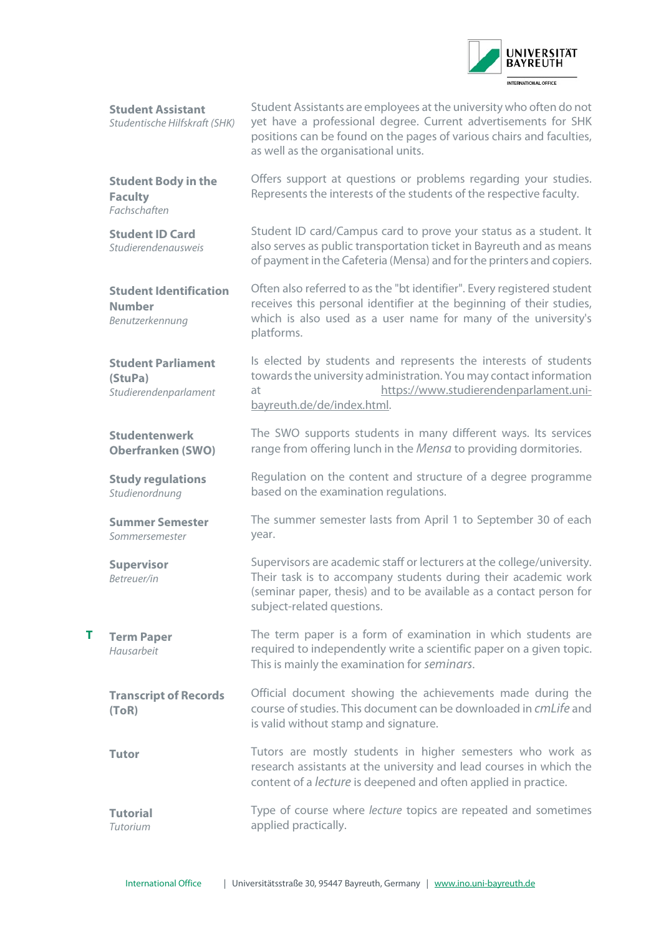

<span id="page-8-3"></span><span id="page-8-2"></span><span id="page-8-1"></span><span id="page-8-0"></span>

|   | <b>Student Assistant</b><br>Studentische Hilfskraft (SHK)         | Student Assistants are employees at the university who often do not<br>yet have a professional degree. Current advertisements for SHK<br>positions can be found on the pages of various chairs and faculties,<br>as well as the organisational units. |
|---|-------------------------------------------------------------------|-------------------------------------------------------------------------------------------------------------------------------------------------------------------------------------------------------------------------------------------------------|
|   | <b>Student Body in the</b><br><b>Faculty</b><br>Fachschaften      | Offers support at questions or problems regarding your studies.<br>Represents the interests of the students of the respective faculty.                                                                                                                |
|   | <b>Student ID Card</b><br><b>Studierendenausweis</b>              | Student ID card/Campus card to prove your status as a student. It<br>also serves as public transportation ticket in Bayreuth and as means<br>of payment in the Cafeteria (Mensa) and for the printers and copiers.                                    |
|   | <b>Student Identification</b><br><b>Number</b><br>Benutzerkennung | Often also referred to as the "bt identifier". Every registered student<br>receives this personal identifier at the beginning of their studies,<br>which is also used as a user name for many of the university's<br>platforms.                       |
|   | <b>Student Parliament</b><br>(StuPa)<br>Studierendenparlament     | Is elected by students and represents the interests of students<br>towards the university administration. You may contact information<br>https://www.studierendenparlament.uni-<br>at<br>bayreuth.de/de/index.html.                                   |
|   | <b>Studentenwerk</b><br><b>Oberfranken (SWO)</b>                  | The SWO supports students in many different ways. Its services<br>range from offering lunch in the Mensa to providing dormitories.                                                                                                                    |
|   | <b>Study regulations</b><br>Studienordnung                        | Regulation on the content and structure of a degree programme<br>based on the examination regulations.                                                                                                                                                |
|   | <b>Summer Semester</b><br>Sommersemester                          | The summer semester lasts from April 1 to September 30 of each<br>year.                                                                                                                                                                               |
|   | <b>Supervisor</b><br>Betreuer/in                                  | Supervisors are academic staff or lecturers at the college/university.<br>Their task is to accompany students during their academic work<br>(seminar paper, thesis) and to be available as a contact person for<br>subject-related questions.         |
| т | <b>Term Paper</b><br>Hausarbeit                                   | The term paper is a form of examination in which students are<br>required to independently write a scientific paper on a given topic.<br>This is mainly the examination for seminars.                                                                 |
|   | <b>Transcript of Records</b><br>(ToR)                             | Official document showing the achievements made during the<br>course of studies. This document can be downloaded in cmLife and<br>is valid without stamp and signature.                                                                               |
|   | <b>Tutor</b>                                                      | Tutors are mostly students in higher semesters who work as<br>research assistants at the university and lead courses in which the<br>content of a <i>lecture</i> is deepened and often applied in practice.                                           |
|   |                                                                   |                                                                                                                                                                                                                                                       |